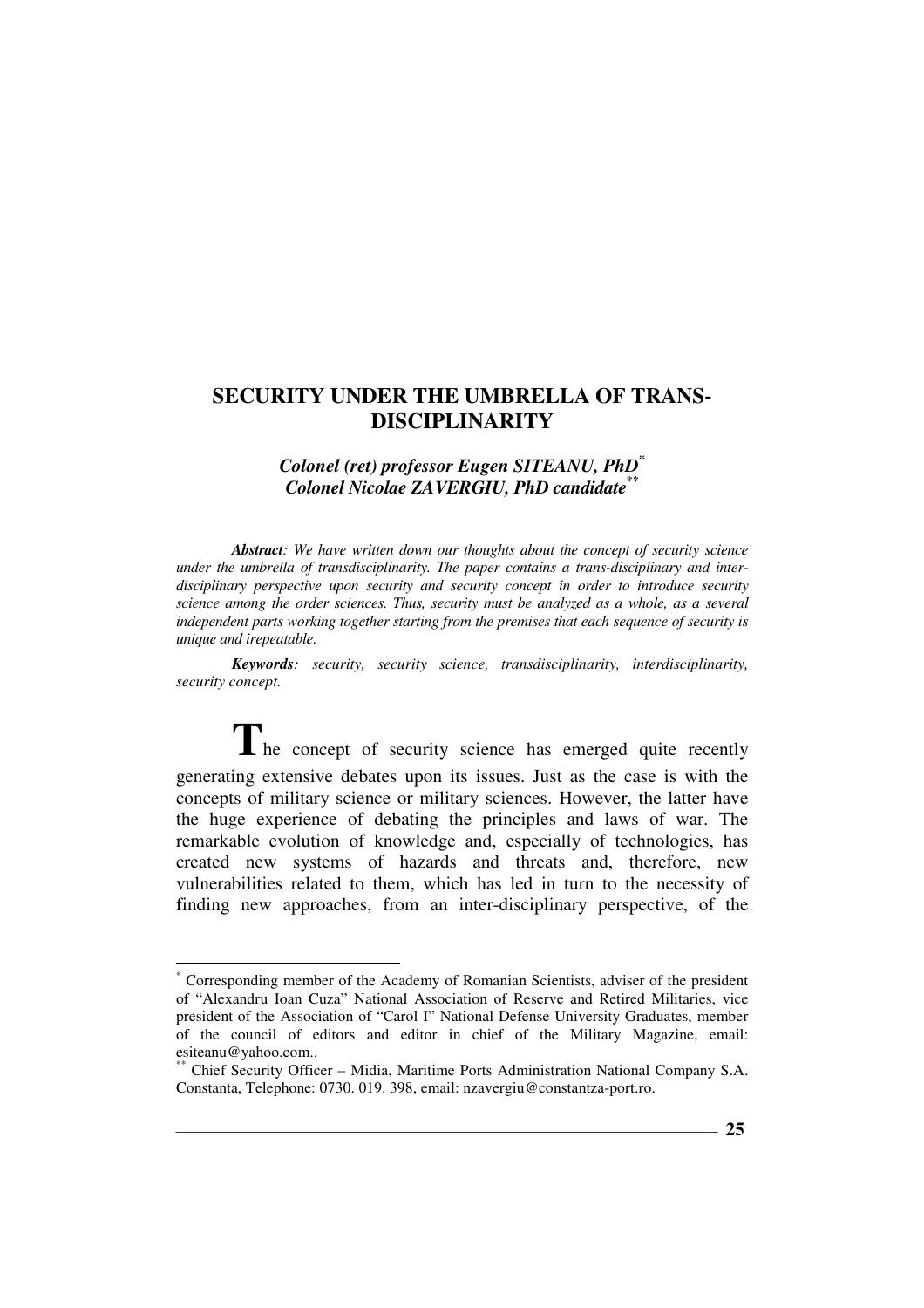## *Colonel (ret) professor Eugen SITEANU, PhD\* Colonel Nicolae ZAVERGIU, PhD candidate\*\**

*Abstract: We have written down our thoughts about the concept of security science under the umbrella of transdisciplinarity. The paper contains a trans-disciplinary and interdisciplinary perspective upon security and security concept in order to introduce security science among the order sciences. Thus, security must be analyzed as a whole, as a several independent parts working together starting from the premises that each sequence of security is unique and irepeatable.* 

*Keywords: security, security science, transdisciplinarity, interdisciplinarity, security concept.* 

The concept of security science has emerged quite recently generating extensive debates upon its issues. Just as the case is with the concepts of military science or military sciences. However, the latter have the huge experience of debating the principles and laws of war. The remarkable evolution of knowledge and, especially of technologies, has created new systems of hazards and threats and, therefore, new vulnerabilities related to them, which has led in turn to the necessity of finding new approaches, from an inter-disciplinary perspective, of the

 $\overline{a}$ 

<sup>\*</sup> Corresponding member of the Academy of Romanian Scientists, adviser of the president of "Alexandru Ioan Cuza" National Association of Reserve and Retired Militaries, vice president of the Association of "Carol I" National Defense University Graduates, member of the council of editors and editor in chief of the Military Magazine, email: esiteanu@yahoo.com..

<sup>\*\*</sup> Chief Security Officer – Midia, Maritime Ports Administration National Company S.A. Constanta, Telephone: 0730. 019. 398, email: nzavergiu@constantza-port.ro.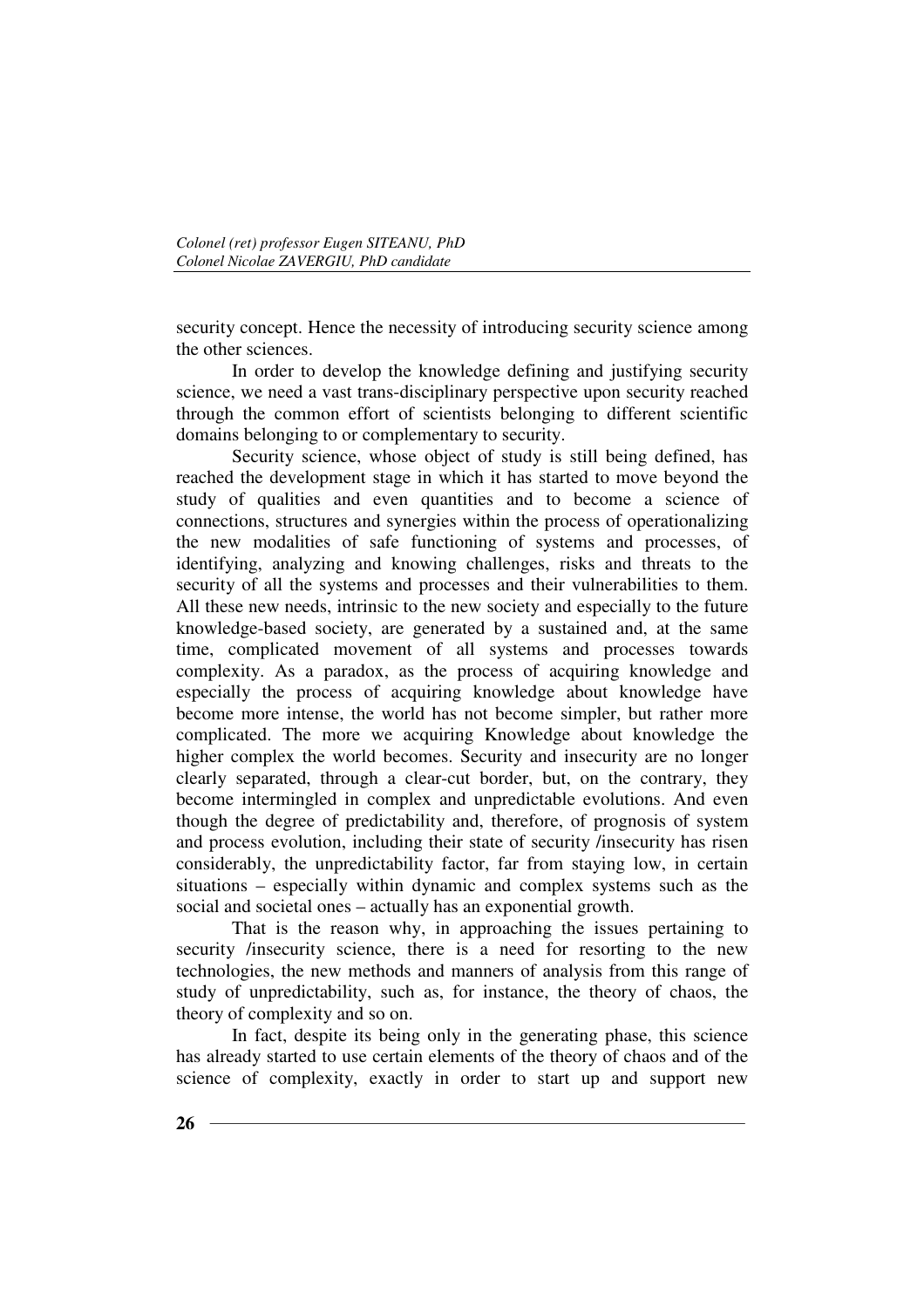security concept. Hence the necessity of introducing security science among the other sciences.

In order to develop the knowledge defining and justifying security science, we need a vast trans-disciplinary perspective upon security reached through the common effort of scientists belonging to different scientific domains belonging to or complementary to security.

Security science, whose object of study is still being defined, has reached the development stage in which it has started to move beyond the study of qualities and even quantities and to become a science of connections, structures and synergies within the process of operationalizing the new modalities of safe functioning of systems and processes, of identifying, analyzing and knowing challenges, risks and threats to the security of all the systems and processes and their vulnerabilities to them. All these new needs, intrinsic to the new society and especially to the future knowledge-based society, are generated by a sustained and, at the same time, complicated movement of all systems and processes towards complexity. As a paradox, as the process of acquiring knowledge and especially the process of acquiring knowledge about knowledge have become more intense, the world has not become simpler, but rather more complicated. The more we acquiring Knowledge about knowledge the higher complex the world becomes. Security and insecurity are no longer clearly separated, through a clear-cut border, but, on the contrary, they become intermingled in complex and unpredictable evolutions. And even though the degree of predictability and, therefore, of prognosis of system and process evolution, including their state of security /insecurity has risen considerably, the unpredictability factor, far from staying low, in certain situations – especially within dynamic and complex systems such as the social and societal ones – actually has an exponential growth.

That is the reason why, in approaching the issues pertaining to security *l*insecurity science, there is a need for resorting to the new technologies, the new methods and manners of analysis from this range of study of unpredictability, such as, for instance, the theory of chaos, the theory of complexity and so on.

In fact, despite its being only in the generating phase, this science has already started to use certain elements of the theory of chaos and of the science of complexity, exactly in order to start up and support new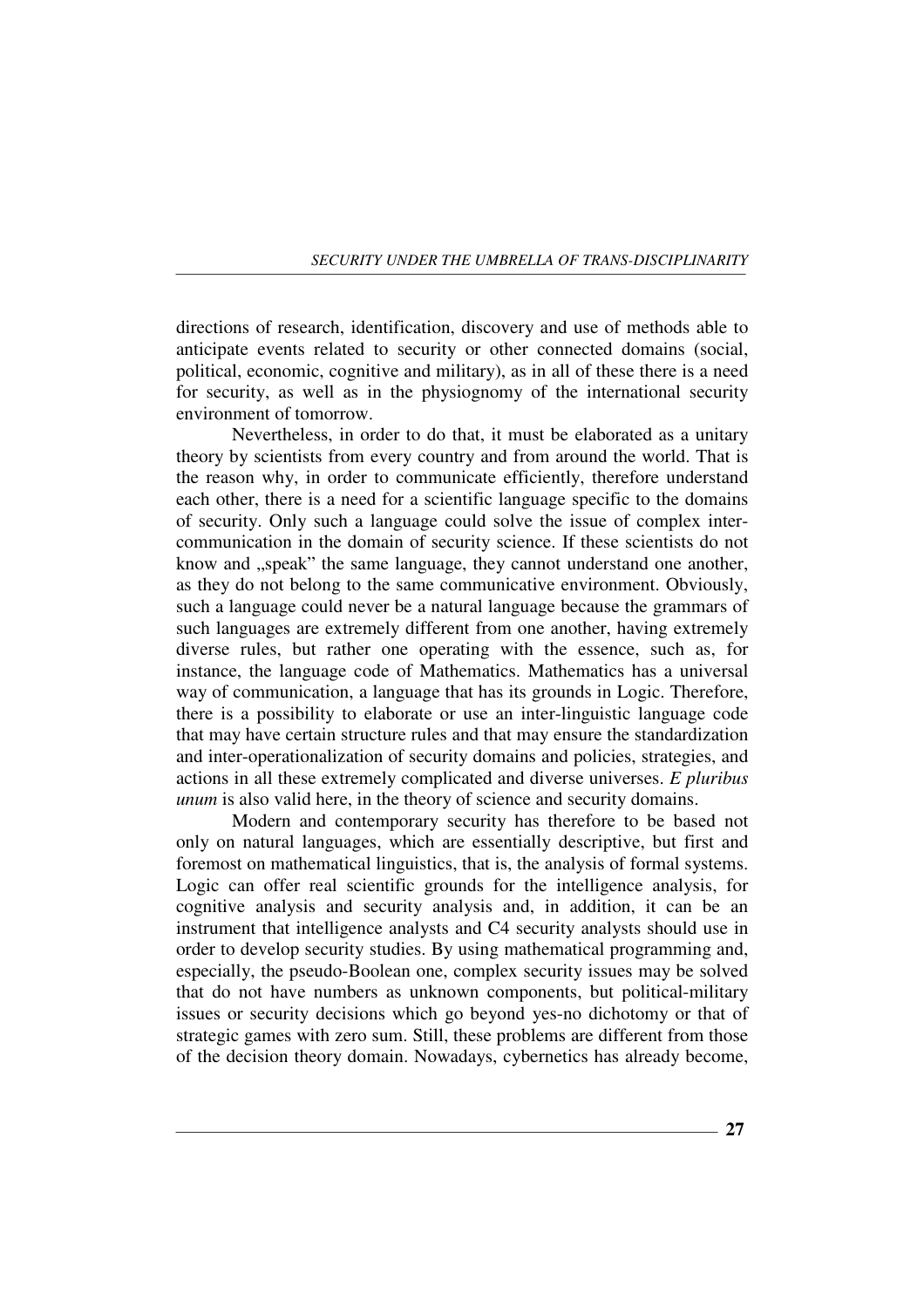directions of research, identification, discovery and use of methods able to anticipate events related to security or other connected domains (social, political, economic, cognitive and military), as in all of these there is a need for security, as well as in the physiognomy of the international security environment of tomorrow.

Nevertheless, in order to do that, it must be elaborated as a unitary theory by scientists from every country and from around the world. That is the reason why, in order to communicate efficiently, therefore understand each other, there is a need for a scientific language specific to the domains of security. Only such a language could solve the issue of complex intercommunication in the domain of security science. If these scientists do not know and "speak" the same language, they cannot understand one another, as they do not belong to the same communicative environment. Obviously, such a language could never be a natural language because the grammars of such languages are extremely different from one another, having extremely diverse rules, but rather one operating with the essence, such as, for instance, the language code of Mathematics. Mathematics has a universal way of communication, a language that has its grounds in Logic. Therefore, there is a possibility to elaborate or use an inter-linguistic language code that may have certain structure rules and that may ensure the standardization and inter-operationalization of security domains and policies, strategies, and actions in all these extremely complicated and diverse universes. *E pluribus unum* is also valid here, in the theory of science and security domains.

Modern and contemporary security has therefore to be based not only on natural languages, which are essentially descriptive, but first and foremost on mathematical linguistics, that is, the analysis of formal systems. Logic can offer real scientific grounds for the intelligence analysis, for cognitive analysis and security analysis and, in addition, it can be an instrument that intelligence analysts and C4 security analysts should use in order to develop security studies. By using mathematical programming and, especially, the pseudo-Boolean one, complex security issues may be solved that do not have numbers as unknown components, but political-military issues or security decisions which go beyond yes-no dichotomy or that of strategic games with zero sum. Still, these problems are different from those of the decision theory domain. Nowadays, cybernetics has already become,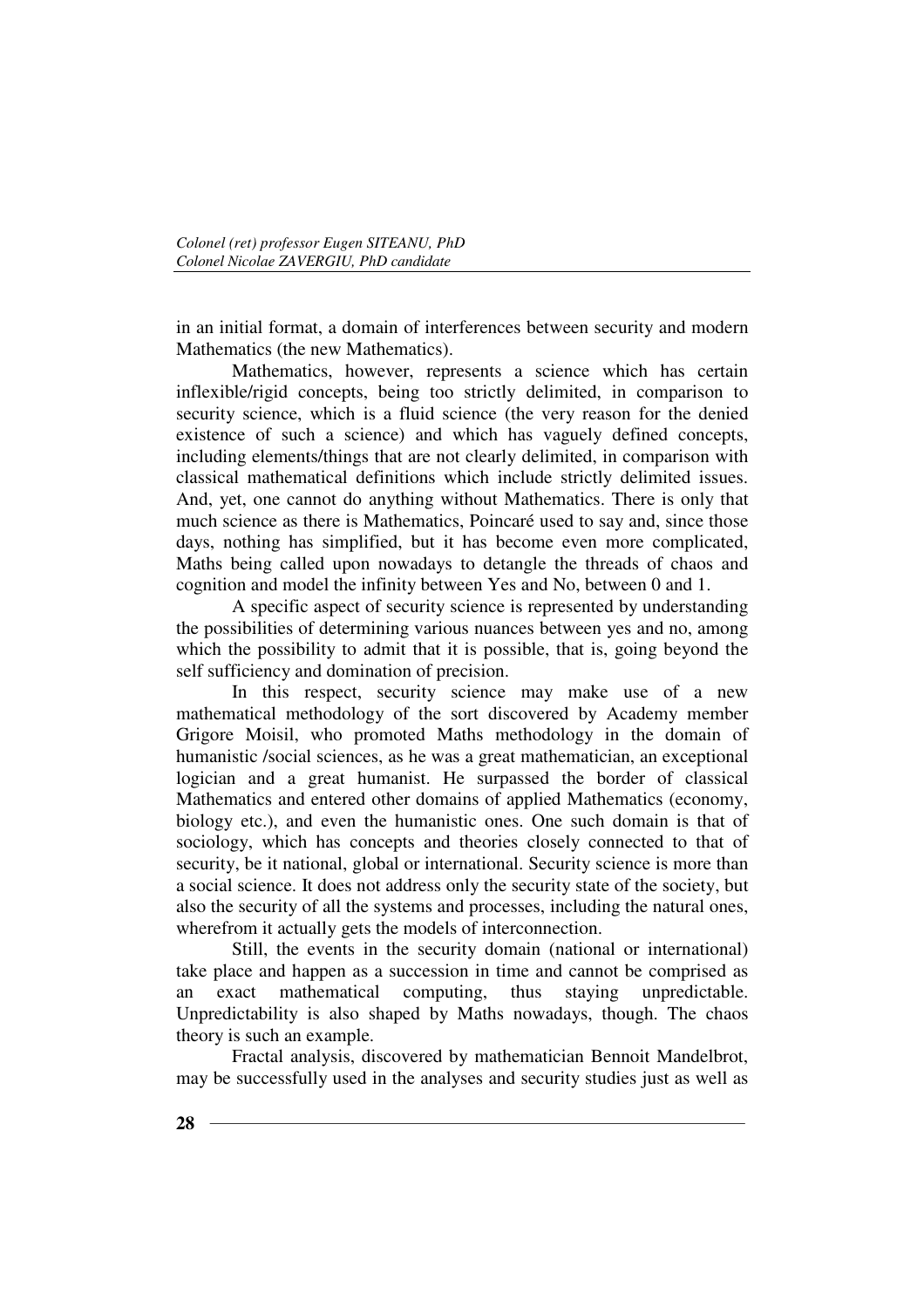in an initial format, a domain of interferences between security and modern Mathematics (the new Mathematics).

Mathematics, however, represents a science which has certain inflexible/rigid concepts, being too strictly delimited, in comparison to security science, which is a fluid science (the very reason for the denied existence of such a science) and which has vaguely defined concepts, including elements/things that are not clearly delimited, in comparison with classical mathematical definitions which include strictly delimited issues. And, yet, one cannot do anything without Mathematics. There is only that much science as there is Mathematics, Poincaré used to say and, since those days, nothing has simplified, but it has become even more complicated, Maths being called upon nowadays to detangle the threads of chaos and cognition and model the infinity between Yes and No, between 0 and 1.

A specific aspect of security science is represented by understanding the possibilities of determining various nuances between yes and no, among which the possibility to admit that it is possible, that is, going beyond the self sufficiency and domination of precision.

In this respect, security science may make use of a new mathematical methodology of the sort discovered by Academy member Grigore Moisil, who promoted Maths methodology in the domain of humanistic /social sciences, as he was a great mathematician, an exceptional logician and a great humanist. He surpassed the border of classical Mathematics and entered other domains of applied Mathematics (economy, biology etc.), and even the humanistic ones. One such domain is that of sociology, which has concepts and theories closely connected to that of security, be it national, global or international. Security science is more than a social science. It does not address only the security state of the society, but also the security of all the systems and processes, including the natural ones, wherefrom it actually gets the models of interconnection.

Still, the events in the security domain (national or international) take place and happen as a succession in time and cannot be comprised as an exact mathematical computing, thus staying unpredictable. Unpredictability is also shaped by Maths nowadays, though. The chaos theory is such an example.

Fractal analysis, discovered by mathematician Bennoit Mandelbrot, may be successfully used in the analyses and security studies just as well as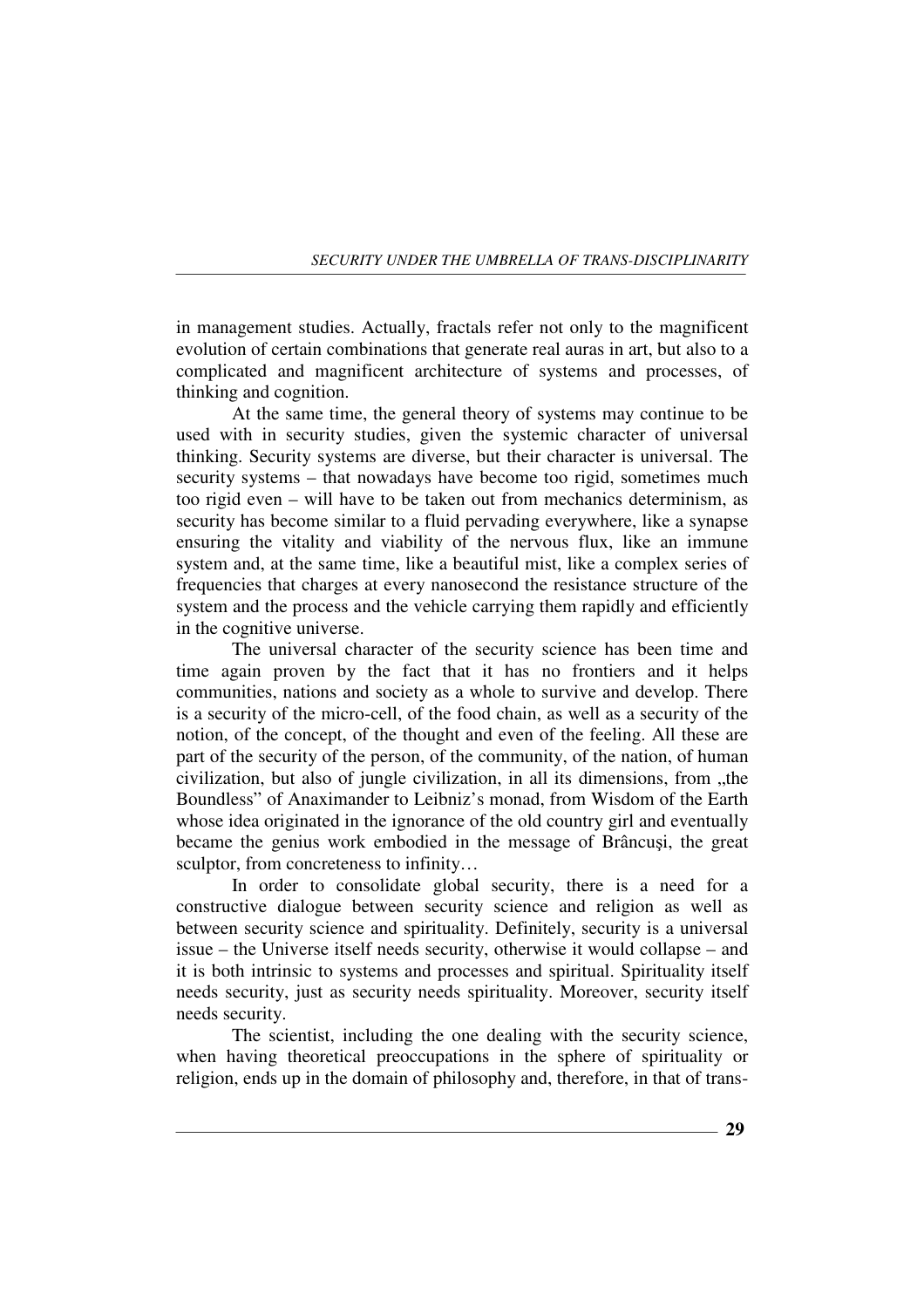in management studies. Actually, fractals refer not only to the magnificent evolution of certain combinations that generate real auras in art, but also to a complicated and magnificent architecture of systems and processes, of thinking and cognition.

At the same time, the general theory of systems may continue to be used with in security studies, given the systemic character of universal thinking. Security systems are diverse, but their character is universal. The security systems – that nowadays have become too rigid, sometimes much too rigid even – will have to be taken out from mechanics determinism, as security has become similar to a fluid pervading everywhere, like a synapse ensuring the vitality and viability of the nervous flux, like an immune system and, at the same time, like a beautiful mist, like a complex series of frequencies that charges at every nanosecond the resistance structure of the system and the process and the vehicle carrying them rapidly and efficiently in the cognitive universe.

The universal character of the security science has been time and time again proven by the fact that it has no frontiers and it helps communities, nations and society as a whole to survive and develop. There is a security of the micro-cell, of the food chain, as well as a security of the notion, of the concept, of the thought and even of the feeling. All these are part of the security of the person, of the community, of the nation, of human civilization, but also of jungle civilization, in all its dimensions, from "the Boundless" of Anaximander to Leibniz's monad, from Wisdom of the Earth whose idea originated in the ignorance of the old country girl and eventually became the genius work embodied in the message of Brâncuşi, the great sculptor, from concreteness to infinity…

In order to consolidate global security, there is a need for a constructive dialogue between security science and religion as well as between security science and spirituality. Definitely, security is a universal issue – the Universe itself needs security, otherwise it would collapse – and it is both intrinsic to systems and processes and spiritual. Spirituality itself needs security, just as security needs spirituality. Moreover, security itself needs security.

The scientist, including the one dealing with the security science, when having theoretical preoccupations in the sphere of spirituality or religion, ends up in the domain of philosophy and, therefore, in that of trans-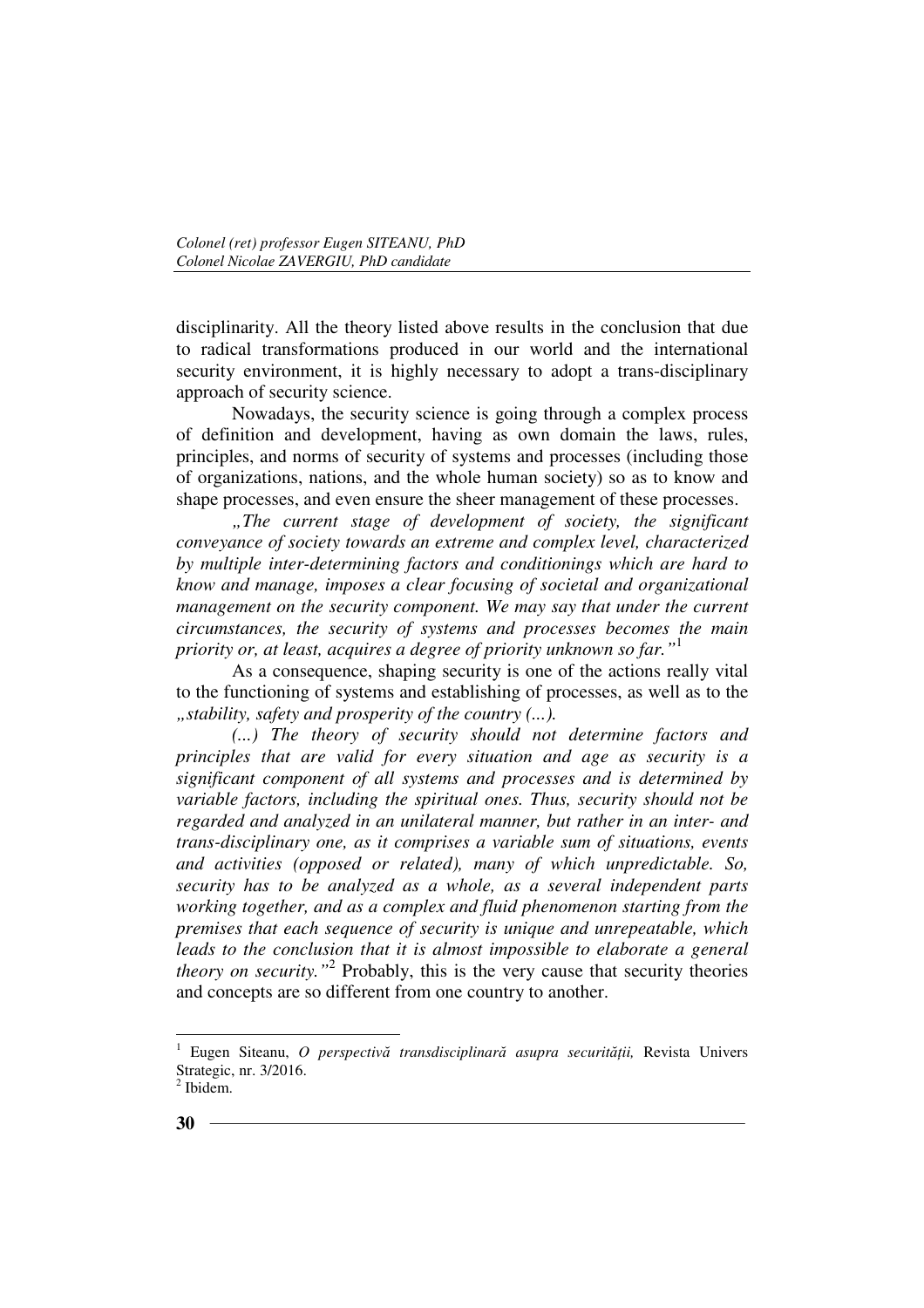disciplinarity. All the theory listed above results in the conclusion that due to radical transformations produced in our world and the international security environment, it is highly necessary to adopt a trans-disciplinary approach of security science.

Nowadays, the security science is going through a complex process of definition and development, having as own domain the laws, rules, principles, and norms of security of systems and processes (including those of organizations, nations, and the whole human society) so as to know and shape processes, and even ensure the sheer management of these processes.

*"The current stage of development of society, the significant conveyance of society towards an extreme and complex level, characterized by multiple inter-determining factors and conditionings which are hard to know and manage, imposes a clear focusing of societal and organizational management on the security component. We may say that under the current circumstances, the security of systems and processes becomes the main priority or, at least, acquires a degree of priority unknown so far."*<sup>1</sup>

As a consequence, shaping security is one of the actions really vital to the functioning of systems and establishing of processes, as well as to the *"stability, safety and prosperity of the country (...).* 

*(...) The theory of security should not determine factors and principles that are valid for every situation and age as security is a significant component of all systems and processes and is determined by variable factors, including the spiritual ones. Thus, security should not be regarded and analyzed in an unilateral manner, but rather in an inter- and trans-disciplinary one, as it comprises a variable sum of situations, events and activities (opposed or related), many of which unpredictable. So, security has to be analyzed as a whole, as a several independent parts working together, and as a complex and fluid phenomenon starting from the premises that each sequence of security is unique and unrepeatable, which leads to the conclusion that it is almost impossible to elaborate a general theory on security."*<sup>2</sup> Probably, this is the very cause that security theories and concepts are so different from one country to another.

 $\overline{a}$ 

<sup>1</sup> Eugen Siteanu, O perspectivă transdisciplinară asupra securității, Revista Univers Strategic, nr. 3/2016.

 $2$  Ibidem.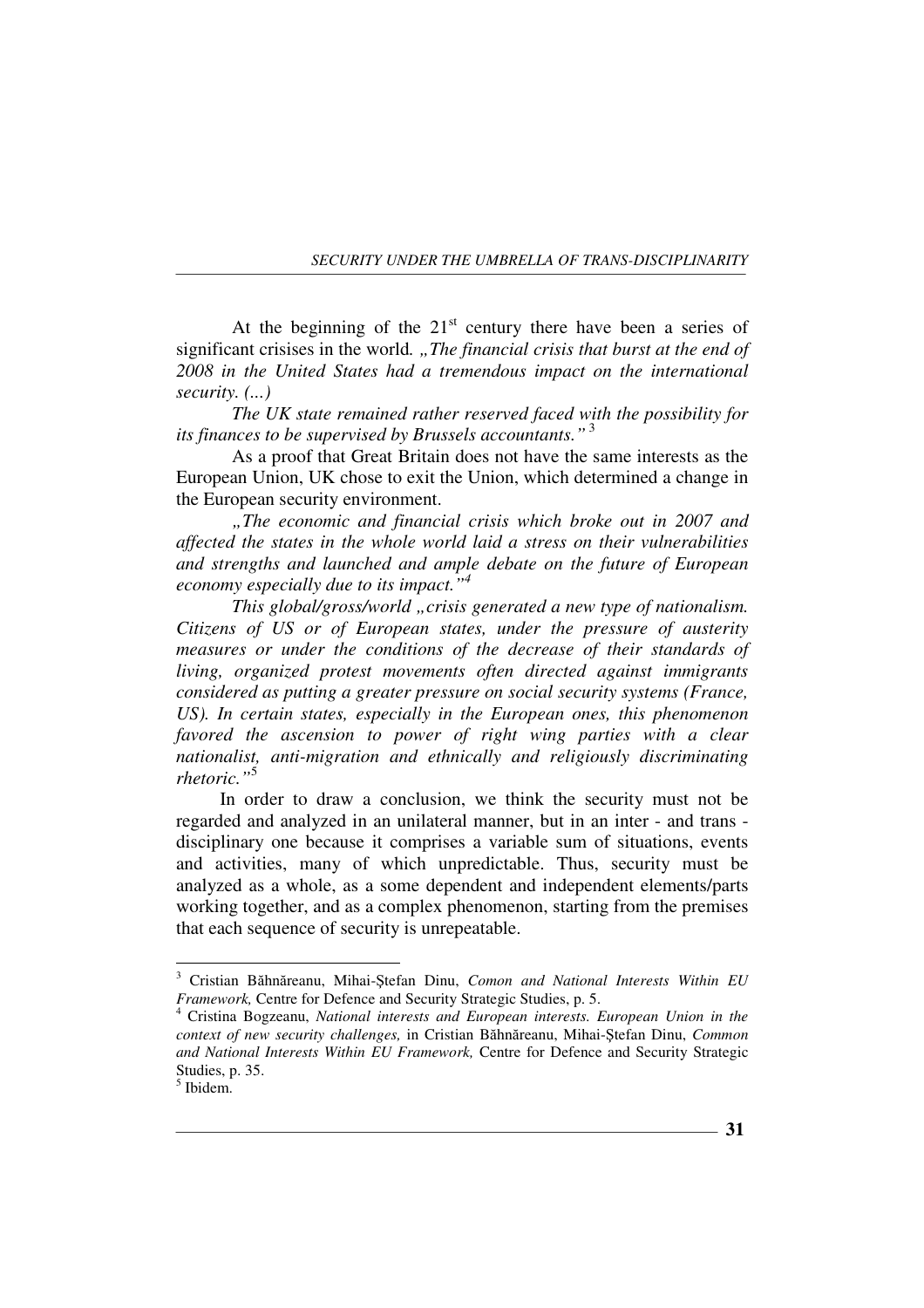At the beginning of the  $21<sup>st</sup>$  century there have been a series of significant crisises in the world*. "The financial crisis that burst at the end of 2008 in the United States had a tremendous impact on the international security. (...)*

*The UK state remained rather reserved faced with the possibility for its finances to be supervised by Brussels accountants."*<sup>3</sup>

As a proof that Great Britain does not have the same interests as the European Union, UK chose to exit the Union, which determined a change in the European security environment.

*"The economic and financial crisis which broke out in 2007 and affected the states in the whole world laid a stress on their vulnerabilities and strengths and launched and ample debate on the future of European economy especially due to its impact."<sup>4</sup>*

*This global/gross/world "crisis generated a new type of nationalism. Citizens of US or of European states, under the pressure of austerity measures or under the conditions of the decrease of their standards of living, organized protest movements often directed against immigrants considered as putting a greater pressure on social security systems (France, US). In certain states, especially in the European ones, this phenomenon favored the ascension to power of right wing parties with a clear nationalist, anti-migration and ethnically and religiously discriminating rhetoric."*<sup>5</sup>

In order to draw a conclusion, we think the security must not be regarded and analyzed in an unilateral manner, but in an inter - and trans disciplinary one because it comprises a variable sum of situations, events and activities, many of which unpredictable. Thus, security must be analyzed as a whole, as a some dependent and independent elements/parts working together, and as a complex phenomenon, starting from the premises that each sequence of security is unrepeatable.

 $\overline{a}$ 

<sup>3</sup> Cristian Băhnăreanu, Mihai-Ştefan Dinu, *Comon and National Interests Within EU Framework,* Centre for Defence and Security Strategic Studies, p. 5.

<sup>4</sup> Cristina Bogzeanu, *National interests and European interests. European Union in the context of new security challenges,* in Cristian Băhnăreanu, Mihai-Ştefan Dinu, *Common and National Interests Within EU Framework,* Centre for Defence and Security Strategic Studies, p. 35.

<sup>5</sup> Ibidem.